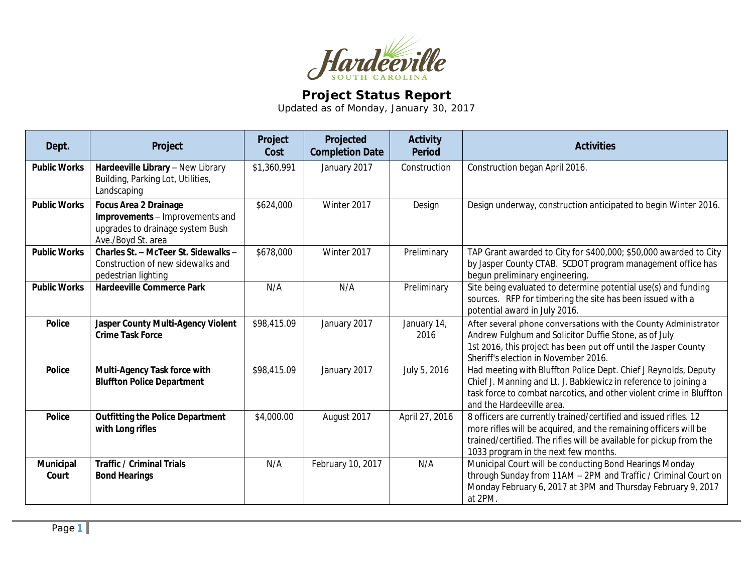

## **Project Status Report**

Updated as of Monday, January 30, 2017

| Dept.                     | Project                                                                                                                   | Project<br>Cost | Projected<br><b>Completion Date</b> | <b>Activity</b><br><b>Period</b> | <b>Activities</b>                                                                                                                                                                                                                                   |
|---------------------------|---------------------------------------------------------------------------------------------------------------------------|-----------------|-------------------------------------|----------------------------------|-----------------------------------------------------------------------------------------------------------------------------------------------------------------------------------------------------------------------------------------------------|
| <b>Public Works</b>       | Hardeeville Library - New Library<br>Building, Parking Lot, Utilities,<br>Landscaping                                     | \$1,360,991     | January 2017                        | Construction                     | Construction began April 2016.                                                                                                                                                                                                                      |
| <b>Public Works</b>       | <b>Focus Area 2 Drainage</b><br>Improvements - Improvements and<br>upgrades to drainage system Bush<br>Ave./Boyd St. area | \$624,000       | Winter 2017                         | Design                           | Design underway, construction anticipated to begin Winter 2016.                                                                                                                                                                                     |
| <b>Public Works</b>       | Charles St. - McTeer St. Sidewalks -<br>Construction of new sidewalks and<br>pedestrian lighting                          | \$678,000       | Winter 2017                         | Preliminary                      | TAP Grant awarded to City for \$400,000; \$50,000 awarded to City<br>by Jasper County CTAB. SCDOT program management office has<br>begun preliminary engineering.                                                                                   |
| <b>Public Works</b>       | <b>Hardeeville Commerce Park</b>                                                                                          | N/A             | N/A                                 | Preliminary                      | Site being evaluated to determine potential use(s) and funding<br>sources. RFP for timbering the site has been issued with a<br>potential award in July 2016.                                                                                       |
| <b>Police</b>             | Jasper County Multi-Agency Violent<br><b>Crime Task Force</b>                                                             | \$98,415.09     | January 2017                        | January 14,<br>2016              | After several phone conversations with the County Administrator<br>Andrew Fulghum and Solicitor Duffie Stone, as of July<br>1st 2016, this project has been put off until the Jasper County<br>Sheriff's election in November 2016.                 |
| <b>Police</b>             | Multi-Agency Task force with<br><b>Bluffton Police Department</b>                                                         | \$98,415.09     | January 2017                        | July 5, 2016                     | Had meeting with Bluffton Police Dept. Chief J Reynolds, Deputy<br>Chief J. Manning and Lt. J. Babkiewicz in reference to joining a<br>task force to combat narcotics, and other violent crime in Bluffton<br>and the Hardeeville area.             |
| <b>Police</b>             | <b>Outfitting the Police Department</b><br>with Long rifles                                                               | \$4,000.00      | August 2017                         | April 27, 2016                   | 8 officers are currently trained/certified and issued rifles. 12<br>more rifles will be acquired, and the remaining officers will be<br>trained/certified. The rifles will be available for pickup from the<br>1033 program in the next few months. |
| <b>Municipal</b><br>Court | <b>Traffic / Criminal Trials</b><br><b>Bond Hearings</b>                                                                  | N/A             | February 10, 2017                   | N/A                              | Municipal Court will be conducting Bond Hearings Monday<br>through Sunday from 11AM - 2PM and Traffic / Criminal Court on<br>Monday February 6, 2017 at 3PM and Thursday February 9, 2017<br>at 2PM.                                                |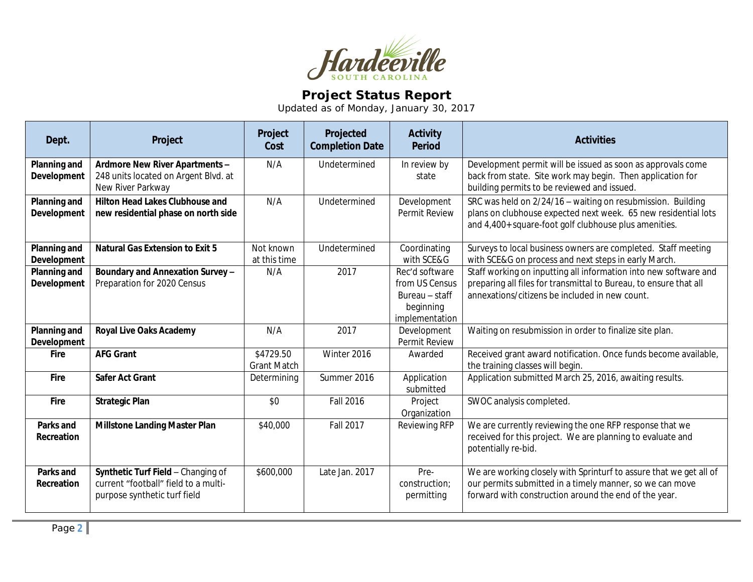

## **Project Status Report**

Updated as of Monday, January 30, 2017

| Dept.                              | Project                                                                                                    | Project<br>Cost                 | Projected<br><b>Completion Date</b> | <b>Activity</b><br><b>Period</b>                                                  | <b>Activities</b>                                                                                                                                                                       |
|------------------------------------|------------------------------------------------------------------------------------------------------------|---------------------------------|-------------------------------------|-----------------------------------------------------------------------------------|-----------------------------------------------------------------------------------------------------------------------------------------------------------------------------------------|
| Planning and<br>Development        | Ardmore New River Apartments -<br>248 units located on Argent Blvd. at<br>New River Parkway                | N/A                             | Undetermined                        | In review by<br>state                                                             | Development permit will be issued as soon as approvals come<br>back from state. Site work may begin. Then application for<br>building permits to be reviewed and issued.                |
| Planning and<br>Development        | <b>Hilton Head Lakes Clubhouse and</b><br>new residential phase on north side                              | N/A                             | Undetermined                        | Development<br><b>Permit Review</b>                                               | SRC was held on 2/24/16 - waiting on resubmission. Building<br>plans on clubhouse expected next week. 65 new residential lots<br>and 4,400+ square-foot golf clubhouse plus amenities.  |
| Planning and<br>Development        | <b>Natural Gas Extension to Exit 5</b>                                                                     | Not known<br>at this time       | Undetermined                        | Coordinating<br>with SCE&G                                                        | Surveys to local business owners are completed. Staff meeting<br>with SCE&G on process and next steps in early March.                                                                   |
| <b>Planning and</b><br>Development | Boundary and Annexation Survey -<br>Preparation for 2020 Census                                            | N/A                             | 2017                                | Rec'd software<br>from US Census<br>Bureau - staff<br>beginning<br>implementation | Staff working on inputting all information into new software and<br>preparing all files for transmittal to Bureau, to ensure that all<br>annexations/citizens be included in new count. |
| Planning and<br><b>Development</b> | <b>Royal Live Oaks Academy</b>                                                                             | N/A                             | 2017                                | Development<br>Permit Review                                                      | Waiting on resubmission in order to finalize site plan.                                                                                                                                 |
| <b>Fire</b>                        | <b>AFG Grant</b>                                                                                           | \$4729.50<br><b>Grant Match</b> | Winter 2016                         | Awarded                                                                           | Received grant award notification. Once funds become available,<br>the training classes will begin.                                                                                     |
| Fire                               | <b>Safer Act Grant</b>                                                                                     | Determining                     | Summer 2016                         | Application<br>submitted                                                          | Application submitted March 25, 2016, awaiting results.                                                                                                                                 |
| Fire                               | <b>Strategic Plan</b>                                                                                      | \$0                             | <b>Fall 2016</b>                    | Project<br>Organization                                                           | SWOC analysis completed.                                                                                                                                                                |
| Parks and<br>Recreation            | <b>Millstone Landing Master Plan</b>                                                                       | \$40,000                        | <b>Fall 2017</b>                    | <b>Reviewing RFP</b>                                                              | We are currently reviewing the one RFP response that we<br>received for this project. We are planning to evaluate and<br>potentially re-bid.                                            |
| Parks and<br>Recreation            | Synthetic Turf Field - Changing of<br>current "football" field to a multi-<br>purpose synthetic turf field | \$600,000                       | Late Jan. 2017                      | Pre-<br>construction;<br>permitting                                               | We are working closely with Sprinturf to assure that we get all of<br>our permits submitted in a timely manner, so we can move<br>forward with construction around the end of the year. |